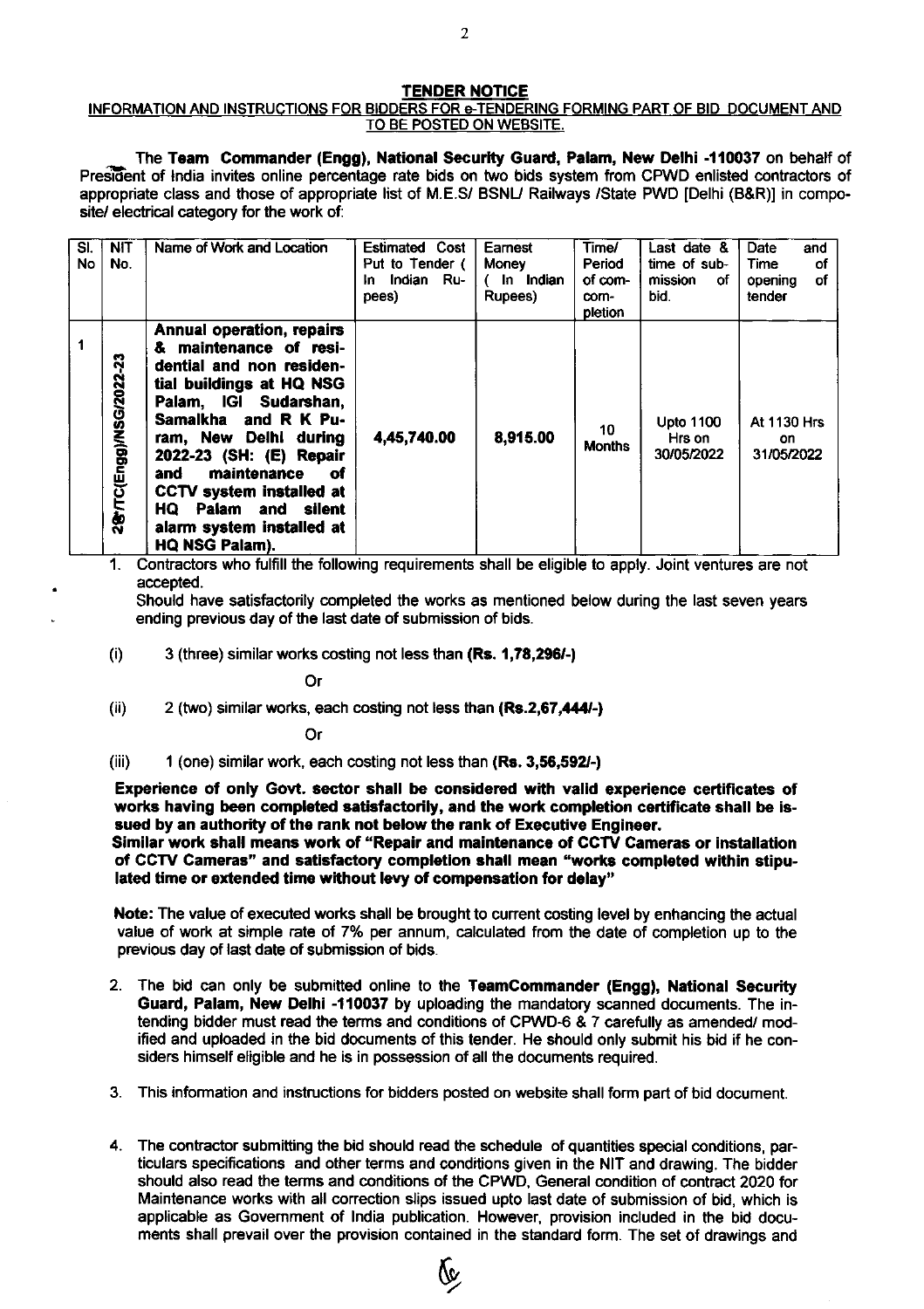## TENDER NOTICE

## INFORMATION AND INSTRUCTIONS FOR BIDDERS FOR e-TENDERING FORMING PART OF BID DOCUMENT AND TO BE POSTED ON WEBSITE.

The Team Commander (Engg), National Security Guard, Palam, New Delhi -110037 on behalf of President of India invites online percentage rate bids on two bids system from CPWD enlisted contractors of appropriate class and those of appropriate list of M.E.S/ BSNU Railways /State PWD [Delhi (B&R)] in composite/ electrical category for the work of:

| SI.<br>No | <b>NIT</b><br>No.         | Name of Work and Location                                                                                                                                                                                                                                                                                                                                | <b>Estimated Cost</b><br>Put to Tender (<br>Indian Ru-<br>In.<br>pees) | Earnest<br>Money<br>In Indian<br>Rupees) | Time/<br>Period<br>of com-<br>com-<br>pletion | Last date &<br>time of sub-<br>mission<br>οf<br>bid. | Date<br>and<br>οf<br>Time<br>οf<br>opening<br>tender |
|-----------|---------------------------|----------------------------------------------------------------------------------------------------------------------------------------------------------------------------------------------------------------------------------------------------------------------------------------------------------------------------------------------------------|------------------------------------------------------------------------|------------------------------------------|-----------------------------------------------|------------------------------------------------------|------------------------------------------------------|
|           | នុ<br>2&LC(Engg)/NSG/2022 | Annual operation, repairs<br>maintenance of resi-<br>&<br>dential and non residen-<br>tial buildings at HQ NSG<br>Palam, IGI Sudarshan,<br>Samalkha and R K Pu-<br>ram, New Delhi during<br>2022-23 (SH: (E) Repair<br>maintenance<br>and<br>оf<br>CCTV system installed at<br><b>HQ Palam and silent</b><br>alarm system installed at<br>HQ NSG Palam). | 4,45,740.00                                                            | 8,915.00                                 | 10<br><b>Months</b>                           | <b>Upto 1100</b><br>Hrs on<br>30/05/2022             | <b>At 1130 Hrs</b><br>on.<br>31/05/2022              |

1. Contractors who fulfill the following requirements shall be eligible to apply. Joint ventures are not accepted.

Should have satisfactorily completed the works as mentioned below during the last seven years ending previous day of the last date of submission of bids.

 $(i)$  3 (three) similar works costing not less than  $(Rs. 1,78,296/-)$ 

Or

(ii)  $2$  (two) similar works, each costing not less than  $(Rs.2,67,444/-)$ 

Or

(iii) 1 (one) similar work, each costing not less than (Rs. 3,56,592-)

Experience of only Govt, sector shall be considercd with valld experience certificates of works having been completed satisfactorily, and the work completion certificate shall be issued by an authority of the rank not below the rank of Executive Engineer.

Similar work shall means work of "Repair and maintenance of CGTV Cameras or installation of CCTV Cameras" and satisfactory completion shall mean "works completed within stipulated time or extended time without levy of compensation for delay"

Note: The value of executed works shall be brought to current costing level by enhancing the actual value of work at simple rate of 7% per annum, calculated from the date of completion up to the previous day of last date of submission of bids,

- 2. The bid can only be submitted online to the Teamcommander (Engg), National Security Guard, Palam, New Delhi -110037 by uploading the mandatory scanned documents. The intending bidder must read the terms and conditions of CPWD-6 & 7 carefully as amended/ modified and uploaded in the bid documents of this tender. He should only submit his bid if he considers himself eligible and he is in possession of all the documents required.
- 3. This information and instructions for bidders posted on website shall form part of bid document
- 4. The contractor submitting the bid should read the schedule of quantities special conditions, particulars specifications and other terms and conditions given in the NIT and drawing. The bidder should also read the terms and conditions of the CPWD, General condition of contract 2020 for Maintenance works with all correction slips issued upto last date of submission of bid, which is applicable as Govemment of lndia publication. However, provision included in the bid documents shall prevail over the provision contained in the standard form. The set of drawings and

e,